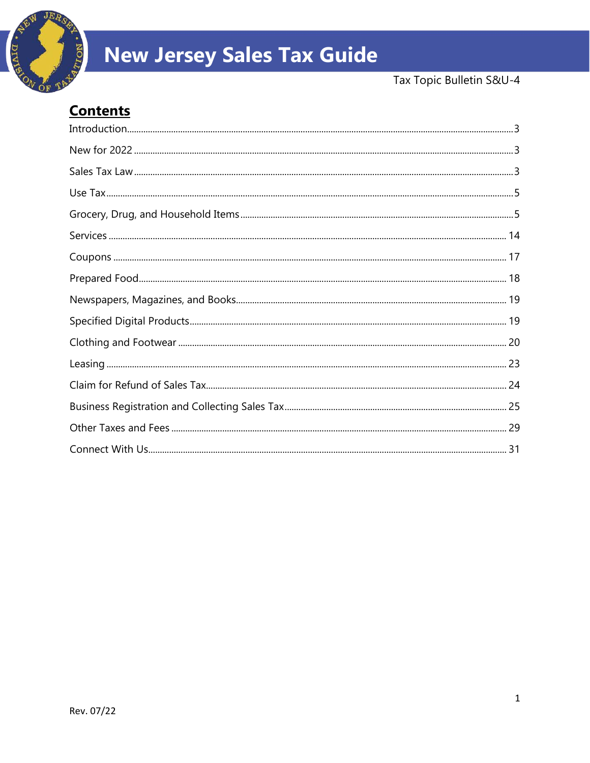

# **New Jersey Sales Tax Guide**

# **Contents**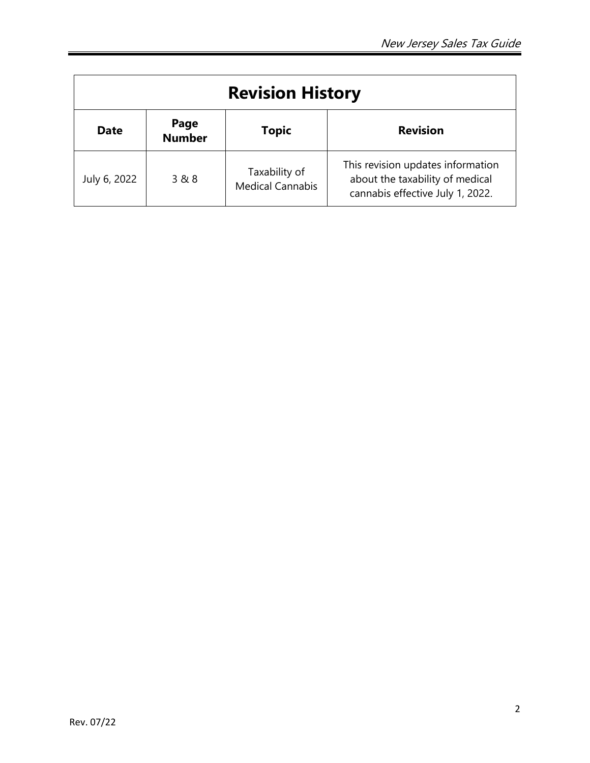|              |                       | <b>Revision History</b>                  |                                                                                                          |
|--------------|-----------------------|------------------------------------------|----------------------------------------------------------------------------------------------------------|
| <b>Date</b>  | Page<br><b>Number</b> | <b>Topic</b>                             | <b>Revision</b>                                                                                          |
| July 6, 2022 | 3 & 8                 | Taxability of<br><b>Medical Cannabis</b> | This revision updates information<br>about the taxability of medical<br>cannabis effective July 1, 2022. |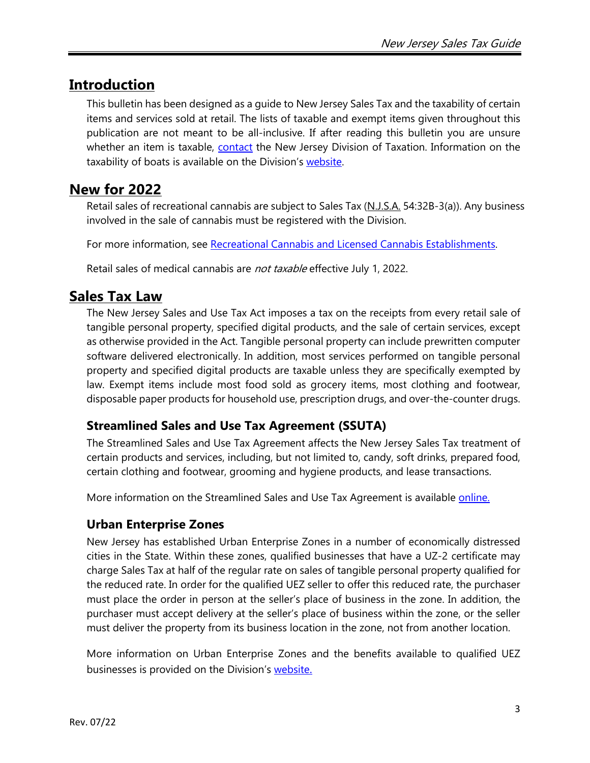# <span id="page-2-0"></span>**Introduction**

This bulletin has been designed as a guide to New Jersey Sales Tax and the taxability of certain items and services sold at retail. The lists of taxable and exempt items given throughout this publication are not meant to be all-inclusive. If after reading this bulletin you are unsure whether an item is taxable, [contact](#page-30-0) the New Jersey Division of Taxation. Information on the taxability of boats is available on the Division's [website.](http://www.state.nj.us/treasury/taxation/boatbill.shtml)

# <span id="page-2-1"></span>**New for 2022**

Retail sales of recreational cannabis are subject to Sales Tax (N.J.S.A. 54:32B-3(a)). Any business involved in the sale of cannabis must be registered with the Division.

For more information, see [Recreational Cannabis and Licensed Cannabis Establishments.](https://www.nj.gov/treasury/taxation/pdf/pubs/tb/tb104.pdf)

Retail sales of medical cannabis are *not taxable* effective July 1, 2022.

# <span id="page-2-2"></span>**Sales Tax Law**

The New Jersey Sales and Use Tax Act imposes a tax on the receipts from every retail sale of tangible personal property, specified digital products, and the sale of certain services, except as otherwise provided in the Act. Tangible personal property can include prewritten computer software delivered electronically. In addition, most services performed on tangible personal property and specified digital products are taxable unless they are specifically exempted by law. Exempt items include most food sold as grocery items, most clothing and footwear, disposable paper products for household use, prescription drugs, and over-the-counter drugs.

### **Streamlined Sales and Use Tax Agreement (SSUTA)**

The Streamlined Sales and Use Tax Agreement affects the New Jersey Sales Tax treatment of certain products and services, including, but not limited to, candy, soft drinks, prepared food, certain clothing and footwear, grooming and hygiene products, and lease transactions.

More information on the Streamlined Sales and Use Tax Agreement is available [online.](http://www.state.nj.us/treasury/taxation/streamnotices.shtml)

### <span id="page-2-3"></span>**Urban Enterprise Zones**

New Jersey has established Urban Enterprise Zones in a number of economically distressed cities in the State. Within these zones, qualified businesses that have a UZ-2 certificate may charge Sales Tax at half of the regular rate on sales of tangible personal property qualified for the reduced rate. In order for the qualified UEZ seller to offer this reduced rate, the purchaser must place the order in person at the seller's place of business in the zone. In addition, the purchaser must accept delivery at the seller's place of business within the zone, or the seller must deliver the property from its business location in the zone, not from another location.

More information on Urban Enterprise Zones and the benefits available to qualified UEZ businesses is provided on the Division's [website.](http://www.state.nj.us/treasury/taxation/uez.shtml)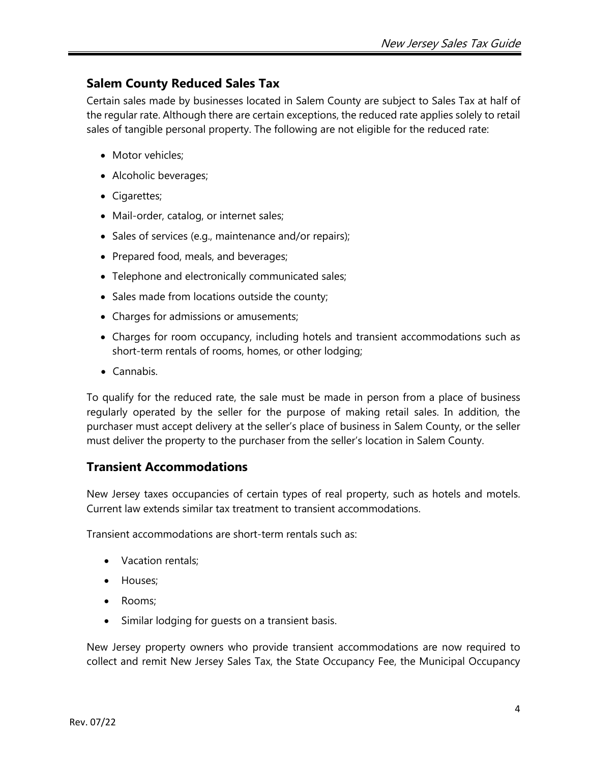### **Salem County Reduced Sales Tax**

Certain sales made by businesses located in Salem County are subject to Sales Tax at half of the regular rate. Although there are certain exceptions, the reduced rate applies solely to retail sales of tangible personal property. The following are not eligible for the reduced rate:

- Motor vehicles:
- Alcoholic beverages;
- Cigarettes;
- Mail-order, catalog, or internet sales;
- Sales of services (e.g., maintenance and/or repairs);
- Prepared food, meals, and beverages;
- Telephone and electronically communicated sales;
- Sales made from locations outside the county;
- Charges for admissions or amusements;
- Charges for room occupancy, including hotels and transient accommodations such as short-term rentals of rooms, homes, or other lodging;
- Cannabis.

To qualify for the reduced rate, the sale must be made in person from a place of business regularly operated by the seller for the purpose of making retail sales. In addition, the purchaser must accept delivery at the seller's place of business in Salem County, or the seller must deliver the property to the purchaser from the seller's location in Salem County.

### **Transient Accommodations**

New Jersey taxes occupancies of certain types of real property, such as hotels and motels. Current law extends similar tax treatment to transient accommodations.

Transient accommodations are short-term rentals such as:

- Vacation rentals;
- Houses;
- Rooms;
- Similar lodging for guests on a transient basis.

New Jersey property owners who provide transient accommodations are now required to collect and remit New Jersey Sales Tax, the State Occupancy Fee, the Municipal Occupancy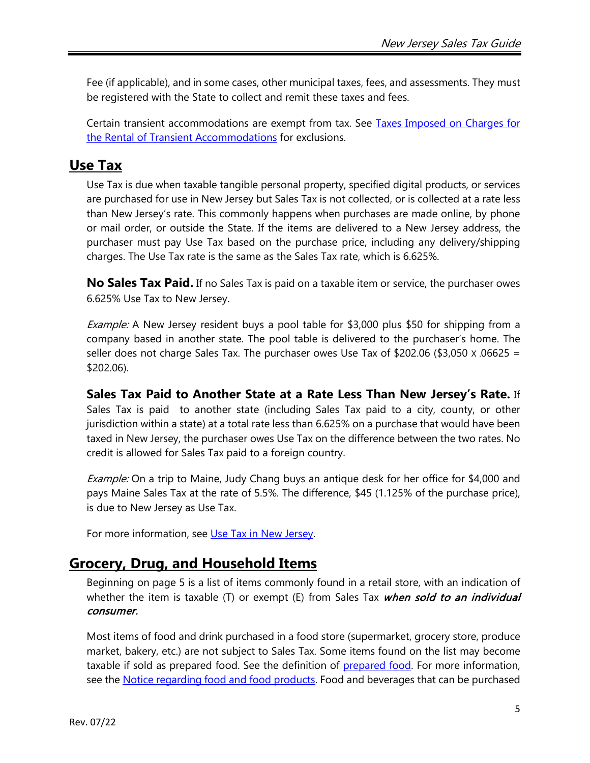Fee (if applicable), and in some cases, other municipal taxes, fees, and assessments. They must be registered with the State to collect and remit these taxes and fees.

Certain transient accommodations are exempt from tax. See Taxes Imposed on Charges for [the Rental of Transient Accommodations](https://nj.gov/treasury/taxation/pdf/pubs/tb/tb81r.pdf) for exclusions.

# <span id="page-4-0"></span>**Use Tax**

Use Tax is due when taxable tangible personal property, specified digital products, or services are purchased for use in New Jersey but Sales Tax is not collected, or is collected at a rate less than New Jersey's rate. This commonly happens when purchases are made online, by phone or mail order, or outside the State. If the items are delivered to a New Jersey address, the purchaser must pay Use Tax based on the purchase price, including any delivery/shipping charges. The Use Tax rate is the same as the Sales Tax rate, which is 6.625%.

**No Sales Tax Paid.** If no Sales Tax is paid on a taxable item or service, the purchaser owes 6.625% Use Tax to New Jersey.

Example: A New Jersey resident buys a pool table for \$3,000 plus \$50 for shipping from a company based in another state. The pool table is delivered to the purchaser's home. The seller does not charge Sales Tax. The purchaser owes Use Tax of  $$202.06 ($3,050 \times 0.0625 =$ \$202.06).

**Sales Tax Paid to Another State at a Rate Less Than New Jersey's Rate.** If Sales Tax is paid to another state (including Sales Tax paid to a city, county, or other jurisdiction within a state) at a total rate less than 6.625% on a purchase that would have been taxed in New Jersey, the purchaser owes Use Tax on the difference between the two rates. No credit is allowed for Sales Tax paid to a foreign country.

Example: On a trip to Maine, Judy Chang buys an antique desk for her office for \$4,000 and pays Maine Sales Tax at the rate of 5.5%. The difference, \$45 (1.125% of the purchase price), is due to New Jersey as Use Tax.

For more information, see [Use Tax in New Jersey.](http://www.state.nj.us/treasury/taxation/pdf/pubs/sales/anj7.pdf)

# <span id="page-4-1"></span>**Grocery, Drug, and Household Items**

Beginning on page 5 is a list of items commonly found in a retail store, with an indication of whether the item is taxable (T) or exempt (E) from Sales Tax *when sold to an individual* consumer.

Most items of food and drink purchased in a food store (supermarket, grocery store, produce market, bakery, etc.) are not subject to Sales Tax. Some items found on the list may become taxable if sold as [prepared food.](#page-17-0) See the definition of prepared food. For more information, see the [Notice regarding food and food products.](http://www.state.nj.us/treasury/taxation/pdf/ssutfood.pdf) Food and beverages that can be purchased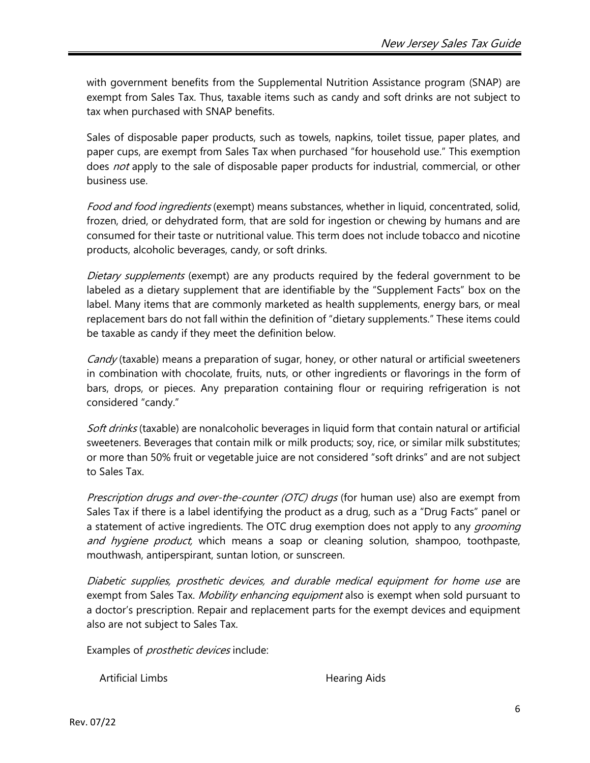with government benefits from the Supplemental Nutrition Assistance program (SNAP) are exempt from Sales Tax. Thus, taxable items such as candy and soft drinks are not subject to tax when purchased with SNAP benefits.

Sales of disposable paper products, such as towels, napkins, toilet tissue, paper plates, and paper cups, are exempt from Sales Tax when purchased "for household use." This exemption does not apply to the sale of disposable paper products for industrial, commercial, or other business use.

Food and food ingredients (exempt) means substances, whether in liquid, concentrated, solid, frozen, dried, or dehydrated form, that are sold for ingestion or chewing by humans and are consumed for their taste or nutritional value. This term does not include tobacco and nicotine products, alcoholic beverages, candy, or soft drinks.

Dietary supplements (exempt) are any products required by the federal government to be labeled as a dietary supplement that are identifiable by the "Supplement Facts" box on the label. Many items that are commonly marketed as health supplements, energy bars, or meal replacement bars do not fall within the definition of "dietary supplements." These items could be taxable as candy if they meet the definition below.

<span id="page-5-0"></span>Candy (taxable) means a preparation of sugar, honey, or other natural or artificial sweeteners in combination with chocolate, fruits, nuts, or other ingredients or flavorings in the form of bars, drops, or pieces. Any preparation containing flour or requiring refrigeration is not considered "candy."

Soft drinks (taxable) are nonalcoholic beverages in liquid form that contain natural or artificial sweeteners. Beverages that contain milk or milk products; soy, rice, or similar milk substitutes; or more than 50% fruit or vegetable juice are not considered "soft drinks" and are not subject to Sales Tax.

Prescription drugs and over-the-counter (OTC) drugs (for human use) also are exempt from Sales Tax if there is a label identifying the product as a drug, such as a "Drug Facts" panel or a statement of active ingredients. The OTC drug exemption does not apply to any *grooming* and hygiene product, which means a soap or cleaning solution, shampoo, toothpaste, mouthwash, antiperspirant, suntan lotion, or sunscreen.

Diabetic supplies, prosthetic devices, and durable medical equipment for home use are exempt from Sales Tax. *Mobility enhancing equipment* also is exempt when sold pursuant to a doctor's prescription. Repair and replacement parts for the exempt devices and equipment also are not subject to Sales Tax.

Examples of *prosthetic devices* include:

Artificial Limbs **Hearing Aids**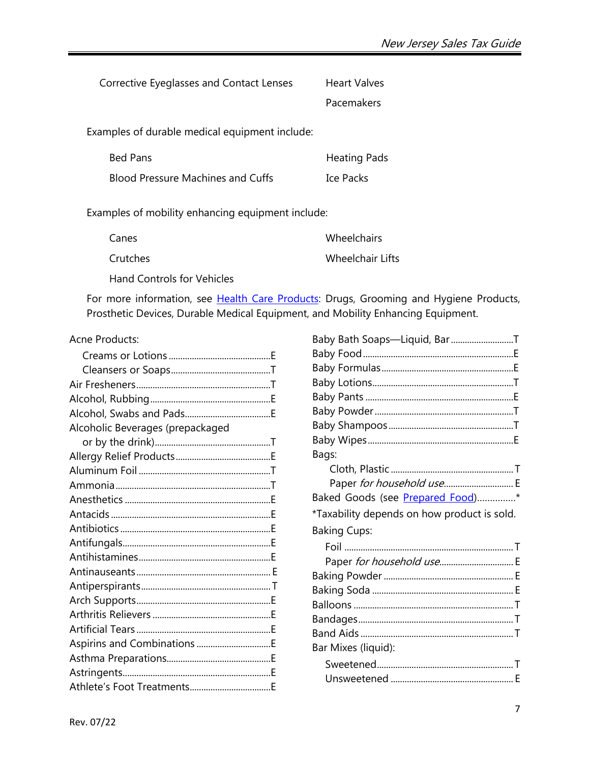| Corrective Eyeglasses and Contact Lenses       | Heart Valves |
|------------------------------------------------|--------------|
|                                                | Pacemakers   |
| Examples of durable medical equipment include: |              |

Bed Pans Blood Pressure Machines and Cuffs Heating Pads Ice Packs

Examples of mobility enhancing equipment include:

| Canes    | Wheelchairs             |
|----------|-------------------------|
| Crutches | <b>Wheelchair Lifts</b> |

Hand Controls for Vehicles

For more information, see [Health Care Products:](https://nj.gov/treasury/taxation/pdf/pubs/tb/tb63r.pdf) Drugs, Grooming and Hygiene Products, Prosthetic Devices, Durable Medical Equipment, and Mobility Enhancing Equipment.

#### Acne Products:

| Alcoholic Beverages (prepackaged |  |
|----------------------------------|--|
|                                  |  |
|                                  |  |
|                                  |  |
|                                  |  |
|                                  |  |
|                                  |  |
|                                  |  |
|                                  |  |
|                                  |  |
|                                  |  |
|                                  |  |
|                                  |  |
|                                  |  |
|                                  |  |
|                                  |  |
|                                  |  |
|                                  |  |
|                                  |  |

| Baby Bath Soaps-Liquid, BarT                |
|---------------------------------------------|
|                                             |
|                                             |
|                                             |
|                                             |
|                                             |
|                                             |
|                                             |
| Bags:                                       |
|                                             |
| Paper for household use E                   |
| Baked Goods (see Prepared Food)*            |
| *Taxability depends on how product is sold. |
| <b>Baking Cups:</b>                         |
|                                             |
| Paper for household use E                   |
|                                             |
|                                             |
|                                             |
|                                             |
|                                             |
| Bar Mixes (liquid):                         |
|                                             |
|                                             |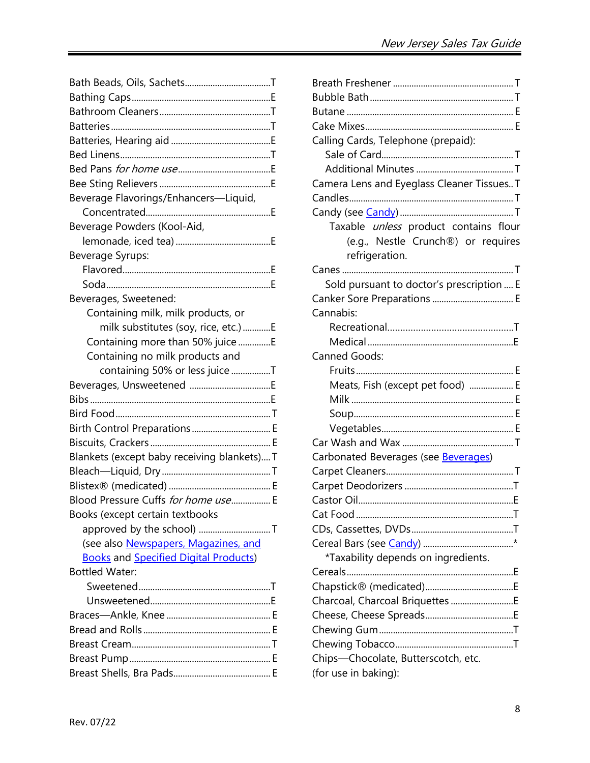<span id="page-7-0"></span>

| Beverage Flavorings/Enhancers-Liquid,        |  |
|----------------------------------------------|--|
|                                              |  |
| Beverage Powders (Kool-Aid,                  |  |
|                                              |  |
| Beverage Syrups:                             |  |
|                                              |  |
|                                              |  |
| Beverages, Sweetened:                        |  |
| Containing milk, milk products, or           |  |
| milk substitutes (soy, rice, etc.) E         |  |
| Containing more than 50% juice E             |  |
| Containing no milk products and              |  |
| containing 50% or less juice T               |  |
|                                              |  |
|                                              |  |
|                                              |  |
|                                              |  |
| Birth Control Preparations E                 |  |
|                                              |  |
| Blankets (except baby receiving blankets) T  |  |
|                                              |  |
|                                              |  |
| Blood Pressure Cuffs for home use E          |  |
| Books (except certain textbooks              |  |
|                                              |  |
| (see also Newspapers, Magazines, and         |  |
| <b>Books and Specified Digital Products)</b> |  |
| <b>Bottled Water:</b>                        |  |
|                                              |  |
|                                              |  |
|                                              |  |
|                                              |  |
|                                              |  |
|                                              |  |

| Calling Cards, Telephone (prepaid):                  |
|------------------------------------------------------|
|                                                      |
|                                                      |
| Camera Lens and Eyeglass Cleaner Tissues T           |
|                                                      |
|                                                      |
| Taxable <i>unless</i> product contains flour         |
| (e.g., Nestle Crunch®) or requires<br>refrigeration. |
|                                                      |
| Sold pursuant to doctor's prescription  E            |
| Canker Sore Preparations  E                          |
| Cannabis:                                            |
|                                                      |
|                                                      |
| Canned Goods:                                        |
|                                                      |
| Meats, Fish (except pet food)  E                     |
|                                                      |
|                                                      |
|                                                      |
|                                                      |
| Carbonated Beverages (see Beverages)                 |
|                                                      |
|                                                      |
|                                                      |
|                                                      |
|                                                      |
|                                                      |
| *Taxability depends on ingredients.                  |
| Cereals                                              |
|                                                      |
| Charcoal, Charcoal Briquettes E                      |
|                                                      |
|                                                      |
|                                                      |
| Chips-Chocolate, Butterscotch, etc.                  |
| (for use in baking):                                 |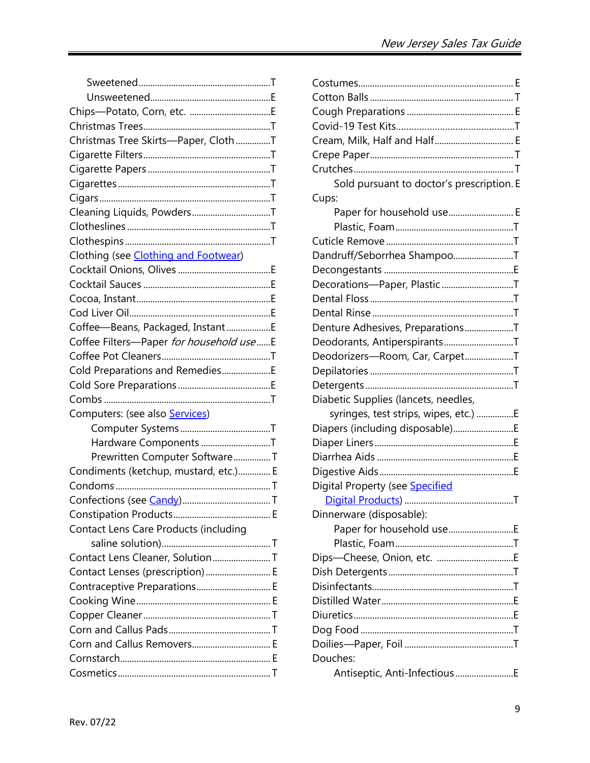| Christmas Tree Skirts-Paper, ClothT     |  |
|-----------------------------------------|--|
|                                         |  |
|                                         |  |
|                                         |  |
|                                         |  |
| Cleaning Liquids, PowdersT              |  |
|                                         |  |
|                                         |  |
| Clothing (see Clothing and Footwear)    |  |
|                                         |  |
|                                         |  |
|                                         |  |
|                                         |  |
| Coffee-Beans, Packaged, InstantE        |  |
| Coffee Filters-Paper for household useE |  |
|                                         |  |
| Cold Preparations and RemediesE         |  |
|                                         |  |
|                                         |  |
| Computers: (see also <b>Services)</b>   |  |
|                                         |  |
| Hardware Components T                   |  |
| Prewritten Computer SoftwareT           |  |
| Condiments (ketchup, mustard, etc.) E   |  |
|                                         |  |
|                                         |  |
|                                         |  |
| Contact Lens Care Products (including   |  |
|                                         |  |
| Contact Lens Cleaner, SolutionT         |  |
| Contact Lenses (prescription) E         |  |
| Contraceptive Preparations E            |  |
|                                         |  |
|                                         |  |
|                                         |  |
| Corn and Callus Removers E              |  |
|                                         |  |
|                                         |  |

| Cream, Milk, Half and Half E              |  |
|-------------------------------------------|--|
|                                           |  |
|                                           |  |
| Sold pursuant to doctor's prescription. E |  |
| Cups:                                     |  |
| Paper for household use E                 |  |
|                                           |  |
|                                           |  |
| Dandruff/Seborrhea ShampooT               |  |
|                                           |  |
| Decorations-Paper, PlasticT               |  |
|                                           |  |
|                                           |  |
| Denture Adhesives, PreparationsT          |  |
| Deodorants, AntiperspirantsT              |  |
| Deodorizers-Room, Car, CarpetT            |  |
|                                           |  |
|                                           |  |
| Diabetic Supplies (lancets, needles,      |  |
| syringes, test strips, wipes, etc.) E     |  |
| Diapers (including disposable)E           |  |
|                                           |  |
|                                           |  |
|                                           |  |
| Digital Property (see <b>Specified</b>    |  |
|                                           |  |
| Dinnerware (disposable):                  |  |
|                                           |  |
|                                           |  |
|                                           |  |
|                                           |  |
|                                           |  |
|                                           |  |
|                                           |  |
|                                           |  |
|                                           |  |
| Douches:                                  |  |
| Antiseptic, Anti-InfectiousE              |  |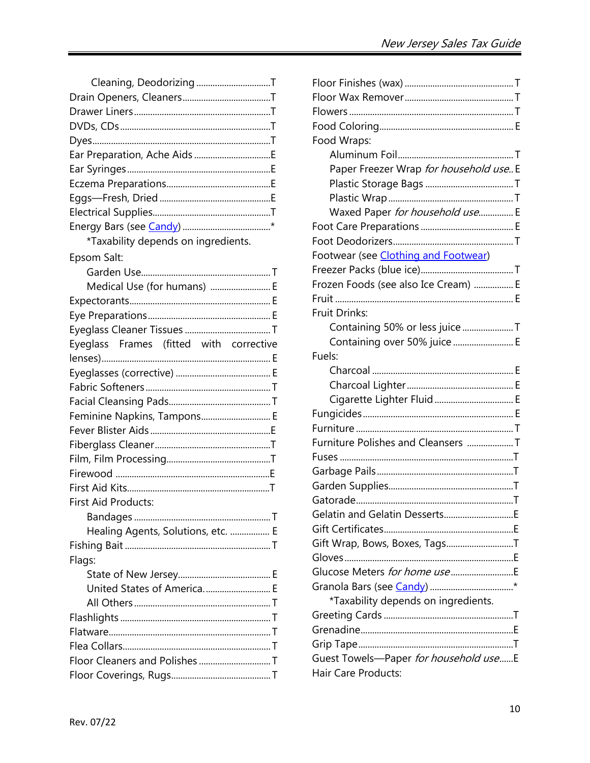| Cleaning, Deodorizing T                 |
|-----------------------------------------|
|                                         |
|                                         |
|                                         |
|                                         |
| Ear Preparation, Ache Aids E            |
|                                         |
|                                         |
|                                         |
|                                         |
|                                         |
| *Taxability depends on ingredients.     |
| Epsom Salt:                             |
|                                         |
| Medical Use (for humans)  E             |
|                                         |
|                                         |
|                                         |
| Eyeglass Frames (fitted with corrective |
|                                         |
|                                         |
|                                         |
|                                         |
| Feminine Napkins, Tampons E             |
|                                         |
|                                         |
|                                         |
|                                         |
|                                         |
| First Aid Products:                     |
|                                         |
| Healing Agents, Solutions, etc.  E      |
|                                         |
| Flags:                                  |
|                                         |
| United States of America E              |
|                                         |
|                                         |
|                                         |
|                                         |
|                                         |
|                                         |

| Food Wraps:                            |
|----------------------------------------|
|                                        |
| Paper Freezer Wrap for household use E |
|                                        |
|                                        |
| Waxed Paper for household use E        |
|                                        |
|                                        |
| Footwear (see Clothing and Footwear)   |
|                                        |
| Frozen Foods (see also Ice Cream)  E   |
|                                        |
| <b>Fruit Drinks:</b>                   |
| Containing 50% or less juice T         |
| Containing over 50% juice  E           |
| Fuels:                                 |
|                                        |
|                                        |
| Cigarette Lighter Fluid  E             |
|                                        |
|                                        |
| Furniture Polishes and Cleansers T     |
|                                        |
|                                        |
|                                        |
|                                        |
| Gelatin and Gelatin DessertsE          |
|                                        |
| Gift Wrap, Bows, Boxes, TagsT          |
|                                        |
| Glucose Meters for home use            |
|                                        |
| *Taxability depends on ingredients.    |
|                                        |
|                                        |
|                                        |
| Guest Towels-Paper for household useE  |
| Hair Care Products:                    |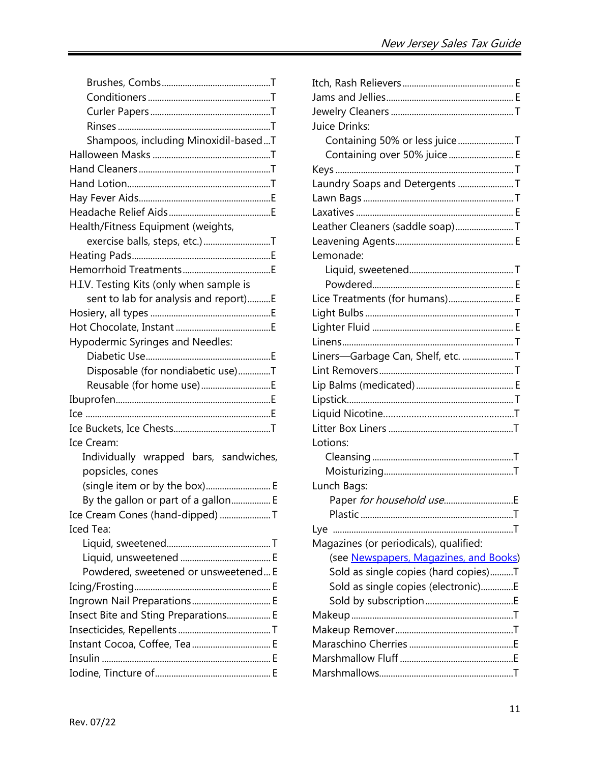| Shampoos, including Minoxidil-basedT     |
|------------------------------------------|
|                                          |
|                                          |
|                                          |
|                                          |
|                                          |
| Health/Fitness Equipment (weights,       |
| exercise balls, steps, etc.)T            |
|                                          |
|                                          |
| H.I.V. Testing Kits (only when sample is |
| sent to lab for analysis and report)E    |
|                                          |
|                                          |
| Hypodermic Syringes and Needles:         |
|                                          |
| Disposable (for nondiabetic use)T        |
| Reusable (for home use)E                 |
|                                          |
|                                          |
|                                          |
| Ice Cream:                               |
| Individually wrapped bars, sandwiches,   |
| popsicles, cones                         |
| (single item or by the box) E            |
| By the gallon or part of a gallon E      |
| Ice Cream Cones (hand-dipped) T          |
| <b>Iced Tea:</b>                         |
|                                          |
|                                          |
| Powdered, sweetened or unsweetened E     |
|                                          |
| Ingrown Nail Preparations E              |
| Insect Bite and Sting Preparations E     |
|                                          |
|                                          |
|                                          |
|                                          |

| Juice Drinks:                          |  |
|----------------------------------------|--|
| Containing 50% or less juice T         |  |
| Containing over 50% juice E            |  |
|                                        |  |
| Laundry Soaps and Detergents T         |  |
|                                        |  |
|                                        |  |
| Leather Cleaners (saddle soap)T        |  |
|                                        |  |
| Lemonade:                              |  |
|                                        |  |
|                                        |  |
| Lice Treatments (for humans) E         |  |
|                                        |  |
|                                        |  |
|                                        |  |
| Liners-Garbage Can, Shelf, etc. T      |  |
|                                        |  |
|                                        |  |
|                                        |  |
|                                        |  |
|                                        |  |
| Lotions:                               |  |
|                                        |  |
|                                        |  |
| Lunch Bags:                            |  |
|                                        |  |
|                                        |  |
| Lye                                    |  |
| Magazines (or periodicals), qualified: |  |
| (see Newspapers, Magazines, and Books) |  |
| Sold as single copies (hard copies)T   |  |
| Sold as single copies (electronic)E    |  |
|                                        |  |
|                                        |  |
|                                        |  |
|                                        |  |
|                                        |  |
|                                        |  |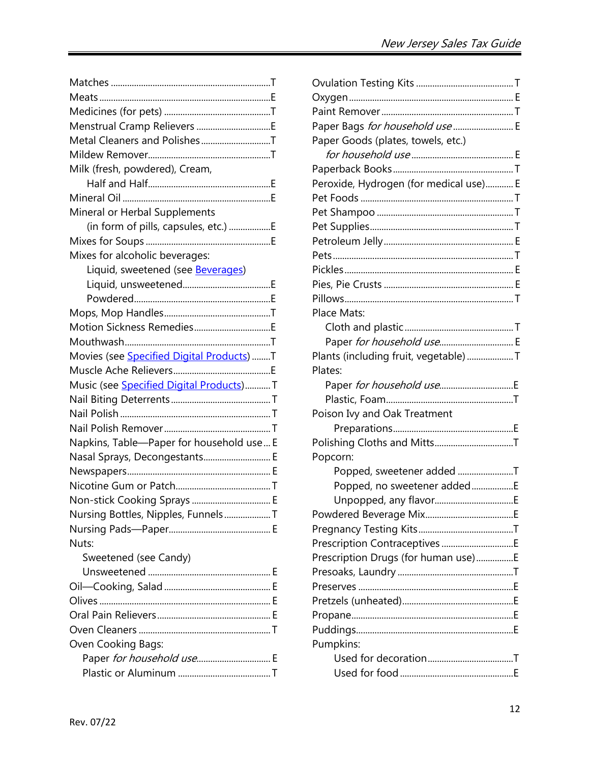| Menstrual Cramp Relievers E                       |  |
|---------------------------------------------------|--|
| Metal Cleaners and PolishesT                      |  |
|                                                   |  |
| Milk (fresh, powdered), Cream,                    |  |
|                                                   |  |
|                                                   |  |
| Mineral or Herbal Supplements                     |  |
| (in form of pills, capsules, etc.) E              |  |
|                                                   |  |
| Mixes for alcoholic beverages:                    |  |
| Liquid, sweetened (see <b>Beverages)</b>          |  |
|                                                   |  |
|                                                   |  |
|                                                   |  |
|                                                   |  |
|                                                   |  |
| Movies (see <b>Specified Digital Products</b> ) T |  |
|                                                   |  |
| Music (see <b>Specified Digital Products</b> )T   |  |
|                                                   |  |
|                                                   |  |
|                                                   |  |
| Napkins, Table-Paper for household use E          |  |
| Nasal Sprays, Decongestants E                     |  |
|                                                   |  |
|                                                   |  |
| Non-stick Cooking Sprays  E                       |  |
| Nursing Bottles, Nipples, FunnelsT                |  |
|                                                   |  |
| Nuts:                                             |  |
| Sweetened (see Candy)                             |  |
|                                                   |  |
|                                                   |  |
|                                                   |  |
|                                                   |  |
|                                                   |  |
| Oven Cooking Bags:                                |  |
| Paper for household use E                         |  |
|                                                   |  |

| Paper Bags for household use  E        |  |
|----------------------------------------|--|
| Paper Goods (plates, towels, etc.)     |  |
|                                        |  |
|                                        |  |
| Peroxide, Hydrogen (for medical use) E |  |
|                                        |  |
|                                        |  |
|                                        |  |
|                                        |  |
|                                        |  |
|                                        |  |
|                                        |  |
|                                        |  |
| Place Mats:                            |  |
|                                        |  |
| Paper for household use E              |  |
| Plants (including fruit, vegetable)T   |  |
| Plates:                                |  |
|                                        |  |
|                                        |  |
| Poison Ivy and Oak Treatment           |  |
|                                        |  |
|                                        |  |
| Popcorn:                               |  |
| Popped, sweetener added T              |  |
| Popped, no sweetener addedE            |  |
|                                        |  |
|                                        |  |
|                                        |  |
|                                        |  |
| Prescription Drugs (for human use)E    |  |
|                                        |  |
|                                        |  |
|                                        |  |
|                                        |  |
|                                        |  |
| Pumpkins:                              |  |
|                                        |  |
|                                        |  |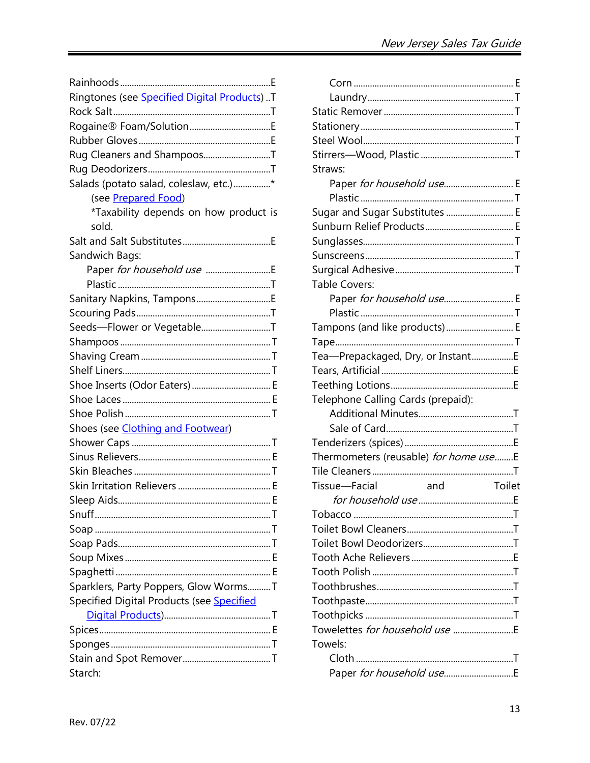| Ringtones (see Specified Digital Products)T |
|---------------------------------------------|
|                                             |
| Rogaine® Foam/SolutionE                     |
|                                             |
| Rug Cleaners and ShampoosT                  |
|                                             |
| Salads (potato salad, coleslaw, etc.)*      |
| (see Prepared Food)                         |
| *Taxability depends on how product is       |
| sold.                                       |
|                                             |
| Sandwich Bags:                              |
|                                             |
|                                             |
|                                             |
|                                             |
| Seeds-Flower or VegetableT                  |
|                                             |
|                                             |
|                                             |
| Shoe Inserts (Odor Eaters) E                |
|                                             |
|                                             |
| Shoes (see <i>Clothing and Footwear</i> )   |
|                                             |
|                                             |
|                                             |
|                                             |
|                                             |
|                                             |
|                                             |
|                                             |
|                                             |
|                                             |
| Sparklers, Party Poppers, Glow WormsT       |
| Specified Digital Products (see Specified   |
|                                             |
|                                             |
|                                             |
|                                             |
| Starch:                                     |

| Paper for household use E             |
|---------------------------------------|
|                                       |
| Sugar and Sugar Substitutes  E        |
|                                       |
|                                       |
|                                       |
|                                       |
|                                       |
| Paper for household use E             |
|                                       |
| Tampons (and like products) E         |
|                                       |
| Tea-Prepackaged, Dry, or InstantE     |
|                                       |
|                                       |
|                                       |
|                                       |
|                                       |
|                                       |
| Thermometers (reusable) for home useE |
|                                       |
| Toilet                                |
|                                       |
|                                       |
|                                       |
|                                       |
|                                       |
|                                       |
|                                       |
|                                       |
|                                       |
| Towelettes <i>for household use</i>   |
|                                       |
|                                       |
|                                       |
|                                       |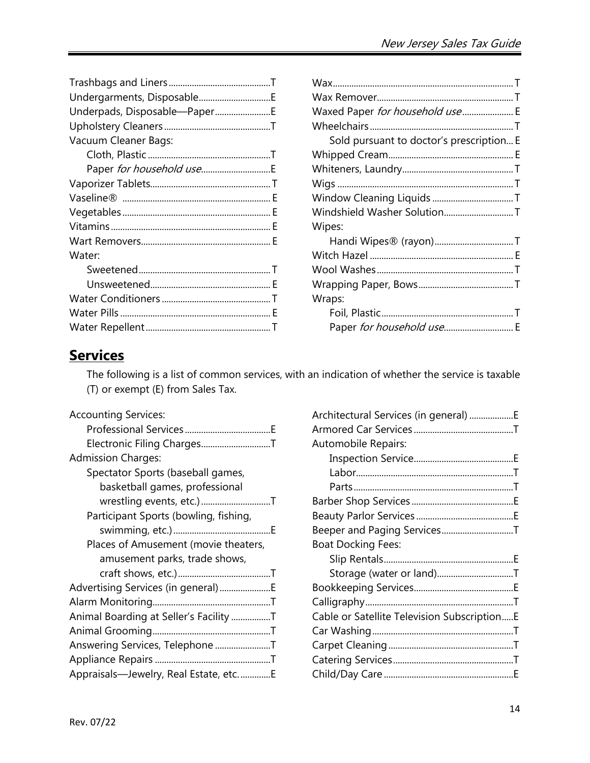| Waxed Paper for household use E          |  |
|------------------------------------------|--|
|                                          |  |
| Sold pursuant to doctor's prescription E |  |
|                                          |  |
|                                          |  |
|                                          |  |
|                                          |  |
| Windshield Washer SolutionT              |  |
| Wipes:                                   |  |
| Handi Wipes® (rayon)T                    |  |
|                                          |  |
|                                          |  |
|                                          |  |
| Wraps:                                   |  |
|                                          |  |
| Paper for household use E                |  |

# <span id="page-13-0"></span>**Services**

The following is a list of common services, with an indication of whether the service is taxable (T) or exempt (E) from Sales Tax.

| <b>Accounting Services:</b>            |
|----------------------------------------|
|                                        |
| Electronic Filing ChargesT             |
| <b>Admission Charges:</b>              |
| Spectator Sports (baseball games,      |
| basketball games, professional         |
| wrestling events, etc.)T               |
| Participant Sports (bowling, fishing,  |
|                                        |
| Places of Amusement (movie theaters,   |
| amusement parks, trade shows,          |
|                                        |
| Advertising Services (in general) E    |
|                                        |
| Animal Boarding at Seller's Facility T |
|                                        |
| Answering Services, Telephone T        |
|                                        |
| Appraisals-Jewelry, Real Estate, etcE  |

| Architectural Services (in general) E       |  |
|---------------------------------------------|--|
|                                             |  |
| Automobile Repairs:                         |  |
|                                             |  |
|                                             |  |
|                                             |  |
|                                             |  |
|                                             |  |
| Beeper and Paging ServicesT                 |  |
| <b>Boat Docking Fees:</b>                   |  |
|                                             |  |
| Storage (water or land)T                    |  |
|                                             |  |
|                                             |  |
| Cable or Satellite Television SubscriptionE |  |
|                                             |  |
|                                             |  |
|                                             |  |
|                                             |  |
|                                             |  |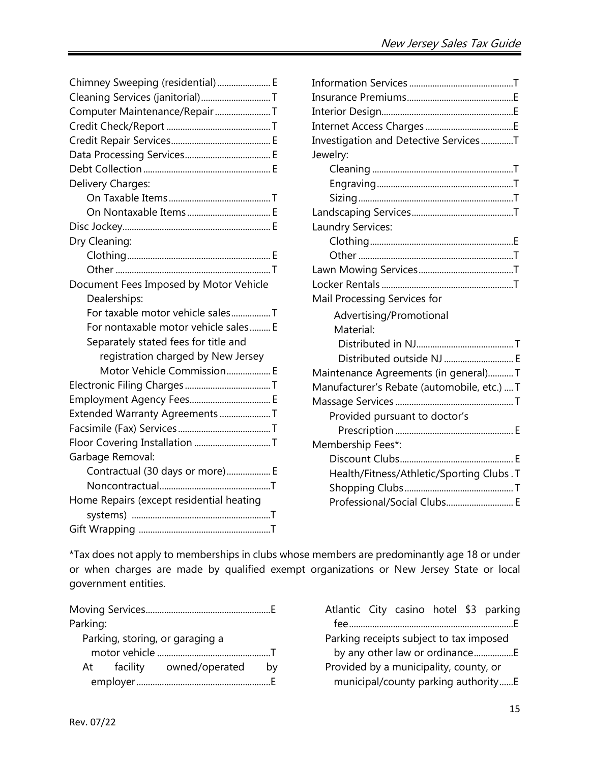<span id="page-14-0"></span>

| Chimney Sweeping (residential) E         |
|------------------------------------------|
| Cleaning Services (janitorial)T          |
| Computer Maintenance/Repair T            |
|                                          |
|                                          |
|                                          |
|                                          |
| Delivery Charges:                        |
|                                          |
|                                          |
|                                          |
| Dry Cleaning:                            |
|                                          |
|                                          |
| Document Fees Imposed by Motor Vehicle   |
| Dealerships:                             |
|                                          |
| For taxable motor vehicle salesT         |
| For nontaxable motor vehicle sales E     |
| Separately stated fees for title and     |
| registration charged by New Jersey       |
| Motor Vehicle Commission E               |
|                                          |
|                                          |
| Extended Warranty Agreements T           |
|                                          |
|                                          |
| Garbage Removal:                         |
| Contractual (30 days or more) E          |
|                                          |
| Home Repairs (except residential heating |
|                                          |

| Investigation and Detective ServicesT       |  |
|---------------------------------------------|--|
| Jewelry:                                    |  |
|                                             |  |
|                                             |  |
|                                             |  |
|                                             |  |
| Laundry Services:                           |  |
|                                             |  |
|                                             |  |
|                                             |  |
|                                             |  |
| Mail Processing Services for                |  |
| Advertising/Promotional                     |  |
| Material:                                   |  |
|                                             |  |
| Distributed outside NJ  E                   |  |
| Maintenance Agreements (in general)T        |  |
| Manufacturer's Rebate (automobile, etc.)  T |  |
|                                             |  |
| Provided pursuant to doctor's               |  |
|                                             |  |
| Membership Fees*:                           |  |
|                                             |  |
| Health/Fitness/Athletic/Sporting Clubs. T   |  |
|                                             |  |
| Professional/Social Clubs E                 |  |

\*Tax does not apply to memberships in clubs whose members are predominantly age 18 or under or when charges are made by qualified exempt organizations or New Jersey State or local government entities.

| Parking: |                                 |    |
|----------|---------------------------------|----|
|          | Parking, storing, or garaging a |    |
|          |                                 |    |
|          | At facility owned/operated      | bv |
|          |                                 |    |

| Atlantic City casino hotel \$3 parking  |                                     |  |  |
|-----------------------------------------|-------------------------------------|--|--|
|                                         |                                     |  |  |
| Parking receipts subject to tax imposed |                                     |  |  |
|                                         | by any other law or ordinanceE      |  |  |
| Provided by a municipality, county, or  | municipal/county parking authorityE |  |  |
|                                         |                                     |  |  |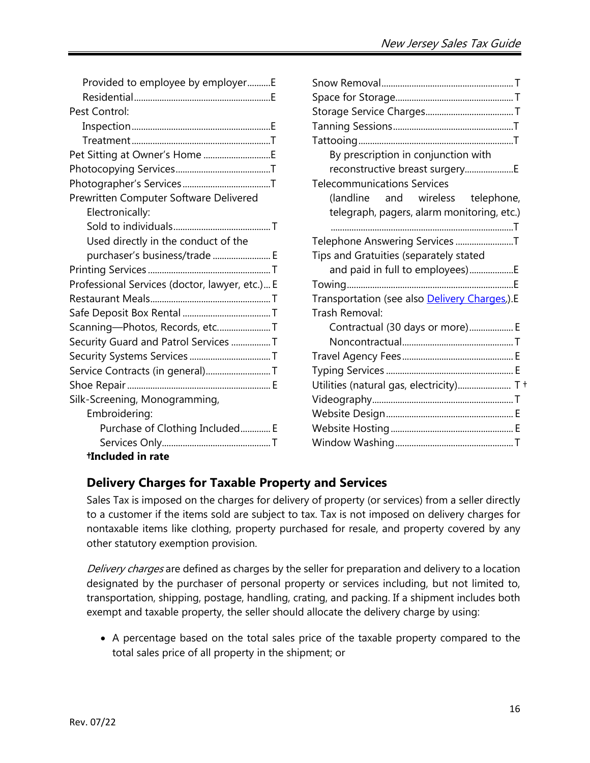| Provided to employee by employerE              |
|------------------------------------------------|
|                                                |
| Pest Control:                                  |
|                                                |
|                                                |
|                                                |
|                                                |
|                                                |
| Prewritten Computer Software Delivered         |
| Electronically:                                |
|                                                |
| Used directly in the conduct of the            |
| purchaser's business/trade  E                  |
|                                                |
| Professional Services (doctor, lawyer, etc.) E |
|                                                |
|                                                |
| Scanning-Photos, Records, etcT                 |
| Security Guard and Patrol Services T           |
|                                                |
| Service Contracts (in general)T                |
|                                                |
| Silk-Screening, Monogramming,                  |
| Embroidering:                                  |
| Purchase of Clothing Included E                |
|                                                |
| <b>Hncluded in rate</b>                        |

| By prescription in conjunction with          |
|----------------------------------------------|
| reconstructive breast surgeryE               |
| <b>Telecommunications Services</b>           |
| (landline and wireless telephone,            |
| telegraph, pagers, alarm monitoring, etc.)   |
|                                              |
| Telephone Answering Services T               |
| Tips and Gratuities (separately stated       |
| and paid in full to employees)E              |
|                                              |
| Transportation (see also Delivery Charges).E |
| Trash Removal:                               |
| Contractual (30 days or more) E              |
|                                              |
|                                              |
|                                              |
| Utilities (natural gas, electricity) T +     |
|                                              |
|                                              |
|                                              |
|                                              |
|                                              |

# **Delivery Charges for Taxable Property and Services**

Sales Tax is imposed on the charges for delivery of property (or services) from a seller directly to a customer if the items sold are subject to tax. Tax is not imposed on delivery charges for nontaxable items like clothing, property purchased for resale, and property covered by any other statutory exemption provision.

Delivery charges are defined as charges by the seller for preparation and delivery to a location designated by the purchaser of personal property or services including, but not limited to, transportation, shipping, postage, handling, crating, and packing. If a shipment includes both exempt and taxable property, the seller should allocate the delivery charge by using:

• A percentage based on the total sales price of the taxable property compared to the total sales price of all property in the shipment; or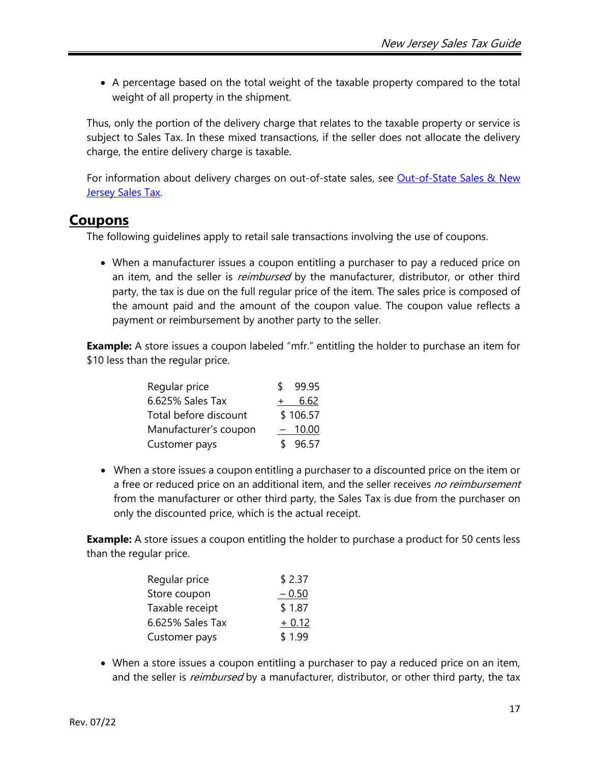• A percentage based on the total weight of the taxable property compared to the total weight of all property in the shipment.

Thus, only the portion of the delivery charge that relates to the taxable property or service is subject to Sales Tax. In these mixed transactions, if the seller does not allocate the delivery charge, the entire delivery charge is taxable.

For information about delivery charges on out-of-state sales, see Out-of-State Sales & New [Jersey Sales Tax.](http://www.state.nj.us/treasury/taxation/pdf/pubs/sales/anj10.pdf)

# <span id="page-16-0"></span>**Coupons**

The following guidelines apply to retail sale transactions involving the use of coupons.

• When a manufacturer issues a coupon entitling a purchaser to pay a reduced price on an item, and the seller is *reimbursed* by the manufacturer, distributor, or other third party, the tax is due on the full regular price of the item. The sales price is composed of the amount paid and the amount of the coupon value. The coupon value reflects a payment or reimbursement by another party to the seller.

**Example:** A store issues a coupon labeled "mfr." entitling the holder to purchase an item for \$10 less than the regular price.

| Regular price         | S.                | 99.95    |
|-----------------------|-------------------|----------|
| 6.625% Sales Tax      |                   | 6.62     |
| Total before discount |                   | \$106.57 |
| Manufacturer's coupon | $\qquad \qquad -$ | 10.00    |
| Customer pays         |                   | \$96.57  |

• When a store issues a coupon entitling a purchaser to a discounted price on the item or a free or reduced price on an additional item, and the seller receives no reimbursement from the manufacturer or other third party, the Sales Tax is due from the purchaser on only the discounted price, which is the actual receipt.

**Example:** A store issues a coupon entitling the holder to purchase a product for 50 cents less than the regular price.

| Regular price    | \$2.37  |
|------------------|---------|
| Store coupon     | $-0.50$ |
| Taxable receipt  | \$1.87  |
| 6.625% Sales Tax | $+0.12$ |
| Customer pays    | \$1.99  |

• When a store issues a coupon entitling a purchaser to pay a reduced price on an item, and the seller is *reimbursed* by a manufacturer, distributor, or other third party, the tax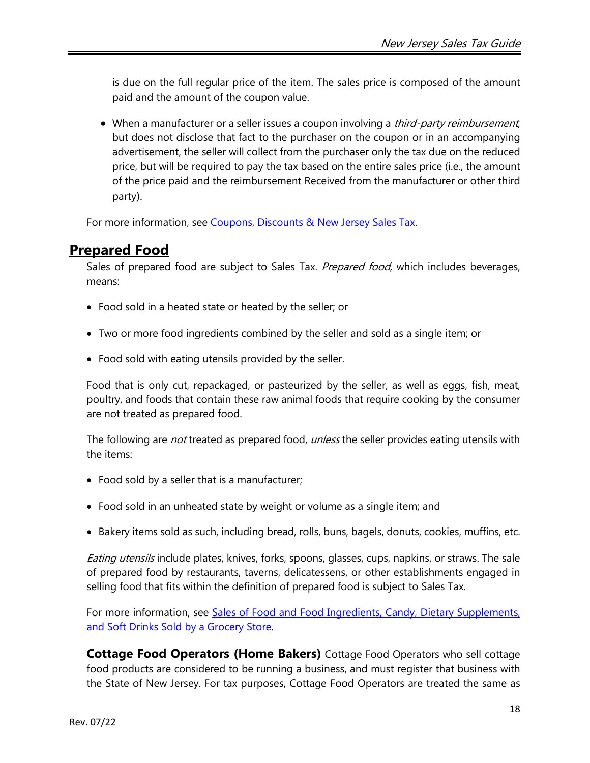is due on the full regular price of the item. The sales price is composed of the amount paid and the amount of the coupon value.

• When a manufacturer or a seller issues a coupon involving a *third-party reimbursement*, but does not disclose that fact to the purchaser on the coupon or in an accompanying advertisement, the seller will collect from the purchaser only the tax due on the reduced price, but will be required to pay the tax based on the entire sales price (i.e., the amount of the price paid and the reimbursement Received from the manufacturer or other third party).

For more information, see [Coupons, Discounts & New Jersey Sales Tax](http://www.state.nj.us/treasury/taxation/pdf/pubs/sales/anj9.pdf).

# <span id="page-17-0"></span>**Prepared Food**

Sales of prepared food are subject to Sales Tax. Prepared food, which includes beverages, means:

- Food sold in a heated state or heated by the seller; or
- Two or more food ingredients combined by the seller and sold as a single item; or
- Food sold with eating utensils provided by the seller.

Food that is only cut, repackaged, or pasteurized by the seller, as well as eggs, fish, meat, poultry, and foods that contain these raw animal foods that require cooking by the consumer are not treated as prepared food.

The following are *not* treated as prepared food, *unless* the seller provides eating utensils with the items:

- Food sold by a seller that is a manufacturer;
- Food sold in an unheated state by weight or volume as a single item; and
- Bakery items sold as such, including bread, rolls, buns, bagels, donuts, cookies, muffins, etc.

Eating utensils include plates, knives, forks, spoons, glasses, cups, napkins, or straws. The sale of prepared food by restaurants, taverns, delicatessens, or other establishments engaged in selling food that fits within the definition of prepared food is subject to Sales Tax.

For more information, see [Sales of Food and Food Ingredients, Candy, Dietary Supplements,](http://www.state.nj.us/treasury/taxation/pdf/pubs/tb/tb70.pdf)  [and Soft Drinks Sold by a Grocery Store.](http://www.state.nj.us/treasury/taxation/pdf/pubs/tb/tb70.pdf)

**Cottage Food Operators (Home Bakers)** Cottage Food Operators who sell cottage food products are considered to be running a business, and must register that business with the State of New Jersey. For tax purposes, Cottage Food Operators are treated the same as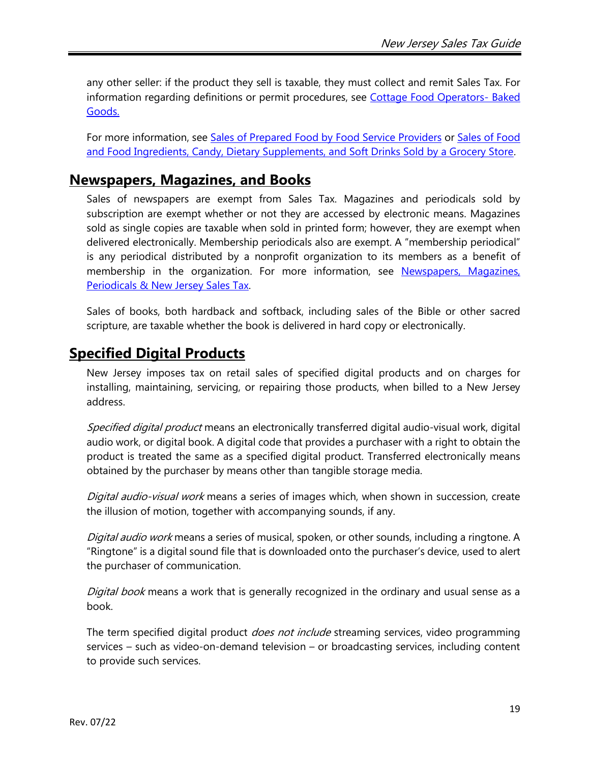any other seller: if the product they sell is taxable, they must collect and remit Sales Tax. For information regarding definitions or permit procedures, see [Cottage Food Operators-](https://www.nj.gov/health/ceohs/phfpp/retailfood/cottagefood.shtml#cfo1) Baked [Goods.](https://www.nj.gov/health/ceohs/phfpp/retailfood/cottagefood.shtml#cfo1)

For more information, see [Sales of Prepared Food by Food Service Providers](http://www.state.nj.us/treasury/taxation/pdf/pubs/tb/tb71.pdf) or Sales of Food [and Food Ingredients, Candy, Dietary Supplements, and Soft Drinks Sold by a Grocery Store](http://www.state.nj.us/treasury/taxation/pdf/pubs/tb/tb70.pdf).

# <span id="page-18-0"></span>**Newspapers, Magazines, and Books**

Sales of newspapers are exempt from Sales Tax. Magazines and periodicals sold by subscription are exempt whether or not they are accessed by electronic means. Magazines sold as single copies are taxable when sold in printed form; however, they are exempt when delivered electronically. Membership periodicals also are exempt. A "membership periodical" is any periodical distributed by a nonprofit organization to its members as a benefit of membership in the organization. For more information, see [Newspapers, Magazines,](http://www.state.nj.us/treasury/taxation/pdf/pubs/sales/anj21.pdf)  Periodicals [& New Jersey](http://www.state.nj.us/treasury/taxation/pdf/pubs/sales/anj21.pdf) Sales Tax.

Sales of books, both hardback and softback, including sales of the Bible or other sacred scripture, are taxable whether the book is delivered in hard copy or electronically.

# <span id="page-18-1"></span>**Specified Digital Products**

New Jersey imposes tax on retail sales of specified digital products and on charges for installing, maintaining, servicing, or repairing those products, when billed to a New Jersey address.

Specified digital product means an electronically transferred digital audio-visual work, digital audio work, or digital book. A digital code that provides a purchaser with a right to obtain the product is treated the same as a specified digital product. Transferred electronically means obtained by the purchaser by means other than tangible storage media.

Digital audio-visual work means a series of images which, when shown in succession, create the illusion of motion, together with accompanying sounds, if any.

Digital audio work means a series of musical, spoken, or other sounds, including a ringtone. A "Ringtone" is a digital sound file that is downloaded onto the purchaser's device, used to alert the purchaser of communication.

Digital book means a work that is generally recognized in the ordinary and usual sense as a book.

The term specified digital product *does not include* streaming services, video programming services – such as video-on-demand television – or broadcasting services, including content to provide such services.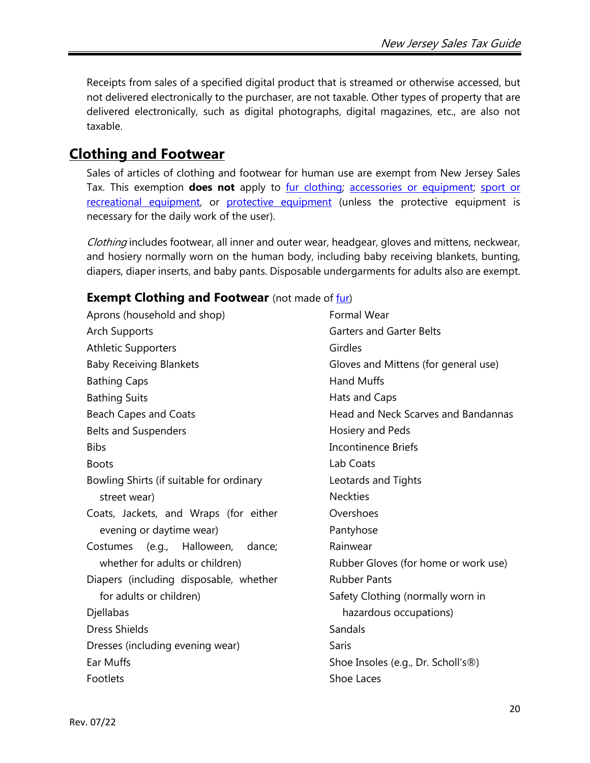Receipts from sales of a specified digital product that is streamed or otherwise accessed, but not delivered electronically to the purchaser, are not taxable. Other types of property that are delivered electronically, such as digital photographs, digital magazines, etc., are also not taxable.

# <span id="page-19-0"></span>**Clothing and Footwear**

Sales of articles of clothing and footwear for human use are exempt from New Jersey Sales Tax. This exemption **does not** apply to [fur clothing;](#page-21-0) [accessories or equipment;](#page-21-1) [sport or](#page-20-0)  [recreational](#page-20-0) equipment, or [protective equipment](#page-20-1) (unless the protective equipment is necessary for the daily work of the user).

Clothing includes footwear, all inner and outer wear, headgear, gloves and mittens, neckwear, and hosiery normally worn on the human body, including baby receiving blankets, bunting, diapers, diaper inserts, and baby pants. Disposable undergarments for adults also are exempt.

### **Exempt Clothing and Footwear** (not made of [fur\)](#page-21-0)

Aprons (household and shop) Arch Supports Athletic Supporters Baby Receiving Blankets Bathing Caps Bathing Suits Beach Capes and Coats Belts and Suspenders **Bibs** Boots Bowling Shirts (if suitable for ordinary street wear) Coats, Jackets, and Wraps (for either evening or daytime wear) Costumes (e.g., Halloween, dance; whether for adults or children) Diapers (including disposable, whether for adults or children) Djellabas Dress Shields Dresses (including evening wear) Ear Muffs Footlets

Formal Wear Garters and Garter Belts Girdles Gloves and Mittens (for general use) Hand Muffs Hats and Caps Head and Neck Scarves and Bandannas Hosiery and Peds Incontinence Briefs Lab Coats Leotards and Tights Neckties **Overshoes** Pantyhose Rainwear Rubber Gloves (for home or work use) Rubber Pants Safety Clothing (normally worn in hazardous occupations) Sandals **Saris** Shoe Insoles (e.g., Dr. Scholl's®) Shoe Laces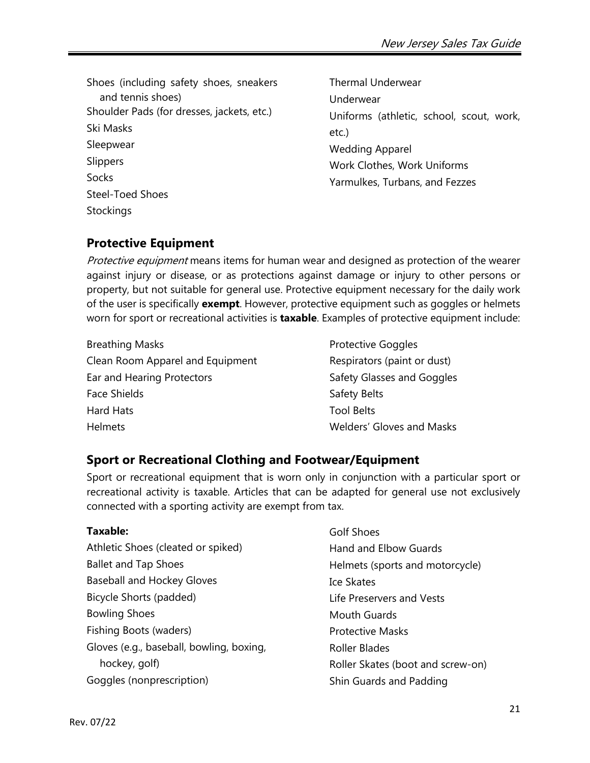Shoes (including safety shoes, sneakers and tennis shoes) Shoulder Pads (for dresses, jackets, etc.) Ski Masks Sleepwear **Slippers** Socks Steel-Toed Shoes **Stockings** 

Thermal Underwear Underwear Uniforms (athletic, school, scout, work, etc.) Wedding Apparel Work Clothes, Work Uniforms Yarmulkes, Turbans, and Fezzes

### <span id="page-20-1"></span>**Protective Equipment**

Protective equipment means items for human wear and designed as protection of the wearer against injury or disease, or as protections against damage or injury to other persons or property, but not suitable for general use. Protective equipment necessary for the daily work of the user is specifically **exempt**. However, protective equipment such as goggles or helmets worn for sport or recreational activities is **taxable**. Examples of protective equipment include:

- Breathing Masks Clean Room Apparel and Equipment Ear and Hearing Protectors Face Shields Hard Hats Helmets
- Protective Goggles Respirators (paint or dust) Safety Glasses and Goggles Safety Belts Tool Belts Welders' Gloves and Masks

# <span id="page-20-0"></span>**Sport or Recreational Clothing and Footwear/Equipment**

Sport or recreational equipment that is worn only in conjunction with a particular sport or recreational activity is taxable. Articles that can be adapted for general use not exclusively connected with a sporting activity are exempt from tax.

### **Taxable:**

- Athletic Shoes (cleated or spiked) Ballet and Tap Shoes Baseball and Hockey Gloves Bicycle Shorts (padded) Bowling Shoes Fishing Boots (waders) Gloves (e.g., baseball, bowling, boxing, hockey, golf) Goggles (nonprescription)
- Golf Shoes Hand and Elbow Guards Helmets (sports and motorcycle) Ice Skates Life Preservers and Vests Mouth Guards Protective Masks Roller Blades Roller Skates (boot and screw-on) Shin Guards and Padding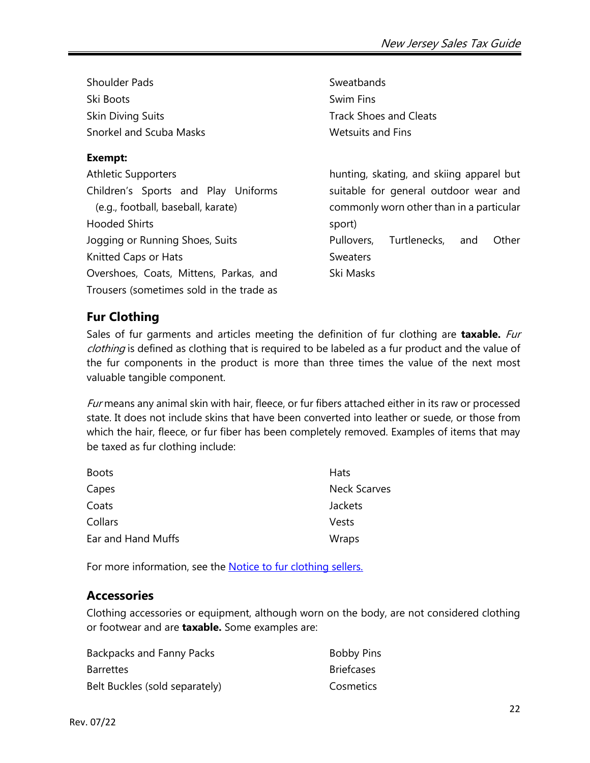| <b>Shoulder Pads</b>                     | Sweatbands                                 |
|------------------------------------------|--------------------------------------------|
| Ski Boots                                | Swim Fins                                  |
| <b>Skin Diving Suits</b>                 | <b>Track Shoes and Cleats</b>              |
| <b>Snorkel and Scuba Masks</b>           | <b>Wetsuits and Fins</b>                   |
| Exempt:                                  |                                            |
| <b>Athletic Supporters</b>               | hunting, skating, and skiing apparel but   |
| Children's Sports and Play Uniforms      | suitable for general outdoor wear and      |
| (e.g., football, baseball, karate)       | commonly worn other than in a particular   |
| <b>Hooded Shirts</b>                     | sport)                                     |
| Jogging or Running Shoes, Suits          | Turtlenecks,<br>Pullovers,<br>Other<br>and |
| Knitted Caps or Hats                     | <b>Sweaters</b>                            |
| Overshoes, Coats, Mittens, Parkas, and   | Ski Masks                                  |
| Trousers (sometimes sold in the trade as |                                            |

# <span id="page-21-0"></span>**Fur Clothing**

Sales of fur garments and articles meeting the definition of fur clothing are **taxable.** Fur clothing is defined as clothing that is required to be labeled as a fur product and the value of the fur components in the product is more than three times the value of the next most valuable tangible component.

Fur means any animal skin with hair, fleece, or fur fibers attached either in its raw or processed state. It does not include skins that have been converted into leather or suede, or those from which the hair, fleece, or fur fiber has been completely removed. Examples of items that may be taxed as fur clothing include:

| <b>Boots</b>       | Hats                |
|--------------------|---------------------|
| Capes              | <b>Neck Scarves</b> |
| Coats              | Jackets             |
| Collars            | Vests               |
| Ear and Hand Muffs | Wraps               |

For more information, see the **Notice to fur clothing sellers.** 

### <span id="page-21-1"></span>**Accessories**

Clothing accessories or equipment, although worn on the body, are not considered clothing or footwear and are **taxable.** Some examples are:

| Backpacks and Fanny Packs      | <b>Bobby Pins</b> |
|--------------------------------|-------------------|
| <b>Barrettes</b>               | <b>Briefcases</b> |
| Belt Buckles (sold separately) | Cosmetics         |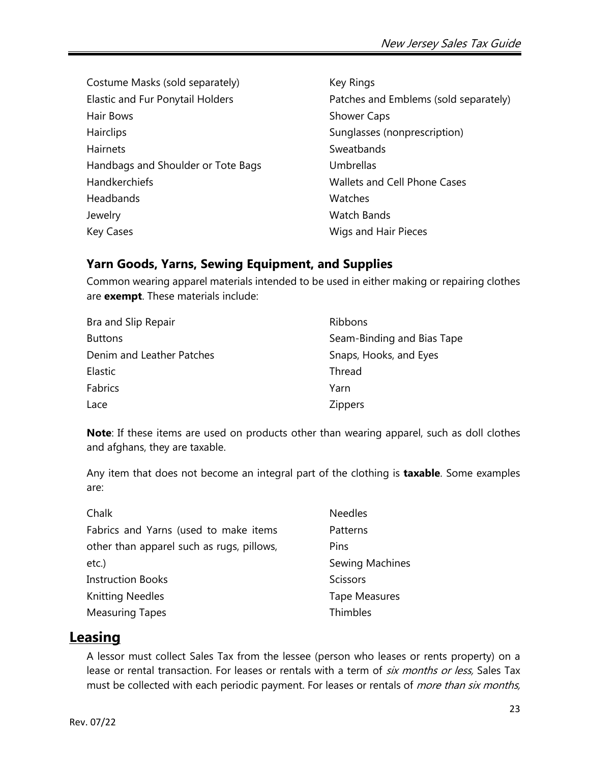Costume Masks (sold separately) Elastic and Fur Ponytail Holders Hair Bows **Hairclips Hairnets** Handbags and Shoulder or Tote Bags Handkerchiefs Headbands Jewelry Key Cases

Key Rings Patches and Emblems (sold separately) Shower Caps Sunglasses (nonprescription) **Sweatbands** Umbrellas Wallets and Cell Phone Cases **Watches** Watch Bands Wigs and Hair Pieces

# **Yarn Goods, Yarns, Sewing Equipment, and Supplies**

Common wearing apparel materials intended to be used in either making or repairing clothes are **exempt**. These materials include:

| Bra and Slip Repair       | Ribbons                    |
|---------------------------|----------------------------|
| <b>Buttons</b>            | Seam-Binding and Bias Tape |
| Denim and Leather Patches | Snaps, Hooks, and Eyes     |
| Elastic                   | Thread                     |
| Fabrics                   | Yarn                       |
| Lace                      | <b>Zippers</b>             |

**Note**: If these items are used on products other than wearing apparel, such as doll clothes and afghans, they are taxable.

Any item that does not become an integral part of the clothing is **taxable**. Some examples are:

| Chalk                                     | <b>Needles</b>         |
|-------------------------------------------|------------------------|
| Fabrics and Yarns (used to make items     | Patterns               |
| other than apparel such as rugs, pillows, | Pins                   |
| $etc.$ )                                  | <b>Sewing Machines</b> |
| <b>Instruction Books</b>                  | <b>Scissors</b>        |
| <b>Knitting Needles</b>                   | <b>Tape Measures</b>   |
| <b>Measuring Tapes</b>                    | Thimbles               |

# <span id="page-22-0"></span>**Leasing**

A lessor must collect Sales Tax from the lessee (person who leases or rents property) on a lease or rental transaction. For leases or rentals with a term of *six months or less*, Sales Tax must be collected with each periodic payment. For leases or rentals of *more than six months*,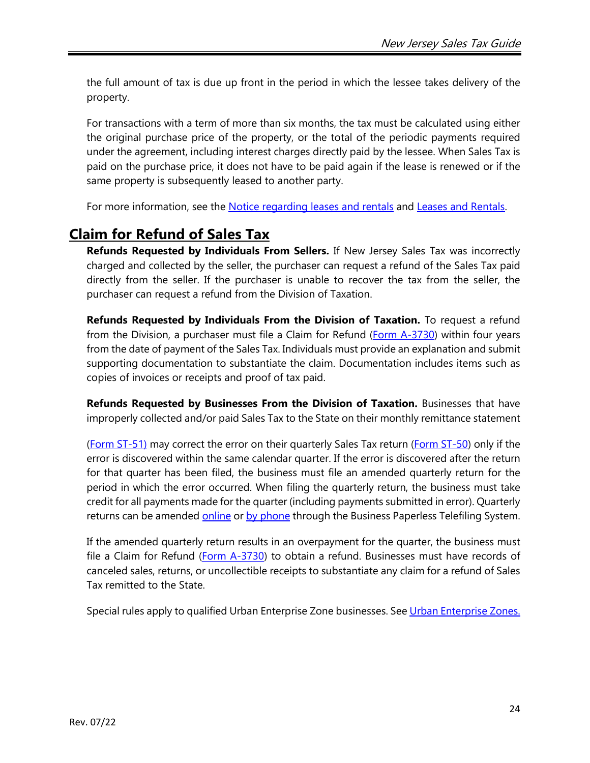the full amount of tax is due up front in the period in which the lessee takes delivery of the property.

For transactions with a term of more than six months, the tax must be calculated using either the original purchase price of the property, or the total of the periodic payments required under the agreement, including interest charges directly paid by the lessee. When Sales Tax is paid on the purchase price, it does not have to be paid again if the lease is renewed or if the same property is subsequently leased to another party.

For more information, see the Notice regarding [leases and rentals](http://www.state.nj.us/treasury/taxation/pdf/ssutlease.pdf) and [Leases and Rentals.](http://www.state.nj.us/treasury/taxation/pdf/pubs/sales/su12.pdf)

# <span id="page-23-0"></span>**Claim for Refund of Sales Tax**

**Refunds Requested by Individuals From Sellers.** If New Jersey Sales Tax was incorrectly charged and collected by the seller, the purchaser can request a refund of the Sales Tax paid directly from the seller. If the purchaser is unable to recover the tax from the seller, the purchaser can request a refund from the Division of Taxation.

**Refunds Requested by Individuals From the Division of Taxation.** To request a refund from the Division, a purchaser must file a Claim for Refund [\(Form A-3730\)](http://www.state.nj.us/treasury/taxation/pdf/other_forms/sales/a3730.pdf) within four years from the date of payment of the Sales Tax. Individuals must provide an explanation and submit supporting documentation to substantiate the claim. Documentation includes items such as copies of invoices or receipts and proof of tax paid.

**Refunds Requested by Businesses From the Division of Taxation.** Businesses that have improperly collected and/or paid Sales Tax to the State on their monthly remittance statement

[\(Form ST-51\)](https://www1.state.nj.us/TYTR_BusinessFilings/jsp/common/Login.jsp?taxcode=55) may correct the error on their quarterly Sales Tax return [\(Form ST-50\)](https://www1.state.nj.us/TYTR_BusinessFilings/jsp/common/Login.jsp?taxcode=55) only if the error is discovered within the same calendar quarter. If the error is discovered after the return for that quarter has been filed, the business must file an amended quarterly return for the period in which the error occurred. When filing the quarterly return, the business must take credit for all payments made for the quarter (including payments submitted in error). Quarterly returns can be amended [online](http://www.state.nj.us/treasury/taxation/onlinebus.shtml) or [by phone](http://www.state.nj.us/treasury/taxation/onlinebus.shtml) through the Business Paperless Telefiling System.

If the amended quarterly return results in an overpayment for the quarter, the business must file a Claim for Refund [\(Form A-3730\)](http://www.state.nj.us/treasury/taxation/pdf/other_forms/sales/a3730.pdf) to obtain a refund. Businesses must have records of canceled sales, returns, or uncollectible receipts to substantiate any claim for a refund of Sales Tax remitted to the State.

Special rules apply to qualified Urban Enterprise Zone businesses. See [Urban Enterprise Zones.](#page-2-3)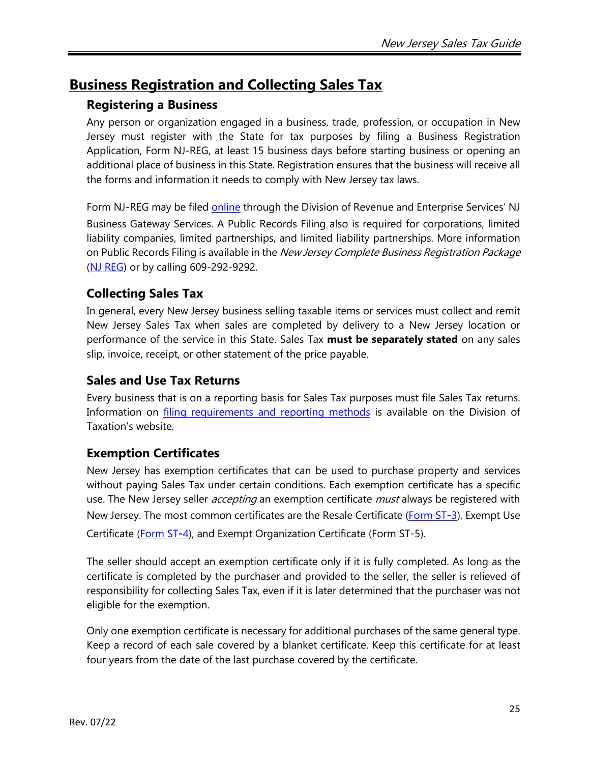# <span id="page-24-0"></span>**Business Registration and Collecting Sales Tax**

### **Registering a Business**

Any person or organization engaged in a business, trade, profession, or occupation in New Jersey must register with the State for tax purposes by filing a Business Registration Application, Form NJ-REG, at least 15 business days before starting business or opening an additional place of business in this State. Registration ensures that the business will receive all the forms and information it needs to comply with New Jersey tax laws.

Form NJ-REG may be filed [online](http://www.state.nj.us/treasury/revenue/gettingregistered.shtml) through the Division of Revenue and Enterprise Services' NJ Business Gateway Services. A Public Records Filing also is required for corporations, limited liability companies, limited partnerships, and limited liability partnerships. More information on Public Records Filing is available in the *New Jersey Complete Business Registration Package* [\(NJ REG\)](http://www.state.nj.us/treasury/revenue/revprnt.shtml) or by calling 609-292-9292.

### **Collecting Sales Tax**

In general, every New Jersey business selling taxable items or services must collect and remit New Jersey Sales Tax when sales are completed by delivery to a New Jersey location or performance of the service in this State. Sales Tax **must be separately stated** on any sales slip, invoice, receipt, or other statement of the price payable.

### **Sales and Use Tax Returns**

Every business that is on a reporting basis for Sales Tax purposes must file Sales Tax returns. Information on *filing requirements and reporting methods* is available on the Division of Taxation's website.

# **Exemption Certificates**

New Jersey has exemption certificates that can be used to purchase property and services without paying Sales Tax under certain conditions. Each exemption certificate has a specific use. The New Jersey seller *accepting* an exemption certificate *must* always be registered with New Jersey. The most common certificates are the Resale Certificate [\(Form ST](http://www.state.nj.us/treasury/taxation/pdf/other_forms/sales/st3.pdf)**‑**3), Exempt Use Certificate [\(Form ST](http://www.state.nj.us/treasury/taxation/pdf/other_forms/sales/st4.pdf)**‑**4), and Exempt Organization Certificate (Form ST‑5).

The seller should accept an exemption certificate only if it is fully completed. As long as the certificate is completed by the purchaser and provided to the seller, the seller is relieved of responsibility for collecting Sales Tax, even if it is later determined that the purchaser was not eligible for the exemption.

Only one exemption certificate is necessary for additional purchases of the same general type. Keep a record of each sale covered by a blanket certificate. Keep this certificate for at least four years from the date of the last purchase covered by the certificate.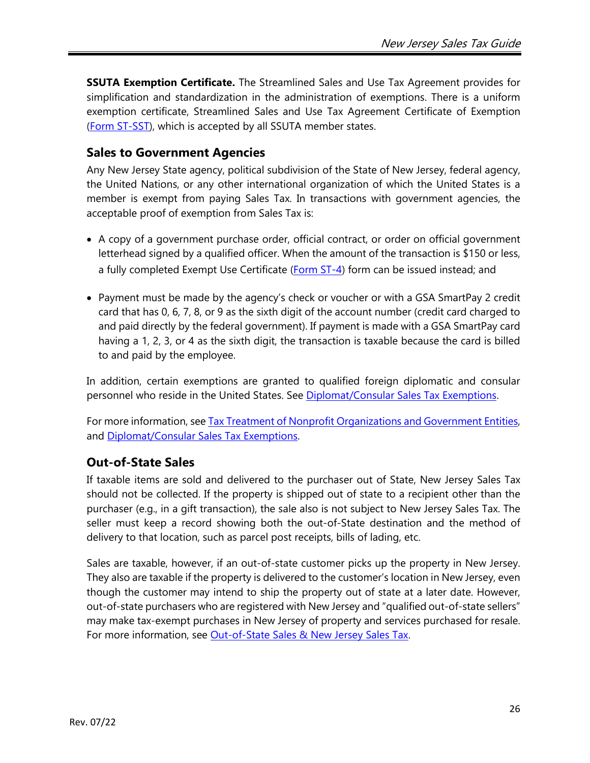**SSUTA Exemption Certificate.** The Streamlined Sales and Use Tax Agreement provides for simplification and standardization in the administration of exemptions. There is a uniform exemption certificate, Streamlined Sales and Use Tax Agreement Certificate of Exemption [\(Form ST-SST\)](http://www.state.nj.us/treasury/taxation/pdf/other_forms/sales/st_sst.pdf), which is accepted by all SSUTA member states.

### **Sales to Government Agencies**

Any New Jersey State agency, political subdivision of the State of New Jersey, federal agency, the United Nations, or any other international organization of which the United States is a member is exempt from paying Sales Tax. In transactions with government agencies, the acceptable proof of exemption from Sales Tax is:

- A copy of a government purchase order, official contract, or order on official government letterhead signed by a qualified officer. When the amount of the transaction is \$150 or less, a fully completed Exempt Use Certificate [\(Form ST](http://www.state.nj.us/treasury/taxation/pdf/other_forms/sales/st4.pdf)-4) form can be issued instead; and
- Payment must be made by the agency's check or voucher or with a GSA SmartPay 2 credit card that has 0, 6, 7, 8, or 9 as the sixth digit of the account number (credit card charged to and paid directly by the federal government). If payment is made with a GSA SmartPay card having a 1, 2, 3, or 4 as the sixth digit, the transaction is taxable because the card is billed to and paid by the employee.

In addition, certain exemptions are granted to qualified foreign diplomatic and consular personnel who reside in the United States. See [Diplomat/Consular Sales Tax Exemptions.](http://www.state.nj.us/treasury/taxation/pdf/pubs/tb/tb53.pdf)

For more information, see [Tax Treatment of Nonprofit Organizations and Government Entities,](http://www.state.nj.us/treasury/taxation/pdf/pubs/misc3.pdf) and [Diplomat/Consular Sales Tax Exemptions.](http://www.state.nj.us/treasury/taxation/pdf/pubs/tb/tb53.pdf)

### **Out-of-State Sales**

If taxable items are sold and delivered to the purchaser out of State, New Jersey Sales Tax should not be collected. If the property is shipped out of state to a recipient other than the purchaser (e.g., in a gift transaction), the sale also is not subject to New Jersey Sales Tax. The seller must keep a record showing both the out-of-State destination and the method of delivery to that location, such as parcel post receipts, bills of lading, etc.

Sales are taxable, however, if an out-of-state customer picks up the property in New Jersey. They also are taxable if the property is delivered to the customer's location in New Jersey, even though the customer may intend to ship the property out of state at a later date. However, out-of-state purchasers who are registered with New Jersey and "qualified out-of-state sellers" may make tax-exempt purchases in New Jersey of property and services purchased for resale. For more information, see [Out-of-State Sales & New Jersey Sales Tax.](http://www.state.nj.us/treasury/taxation/pdf/pubs/sales/anj10.pdf)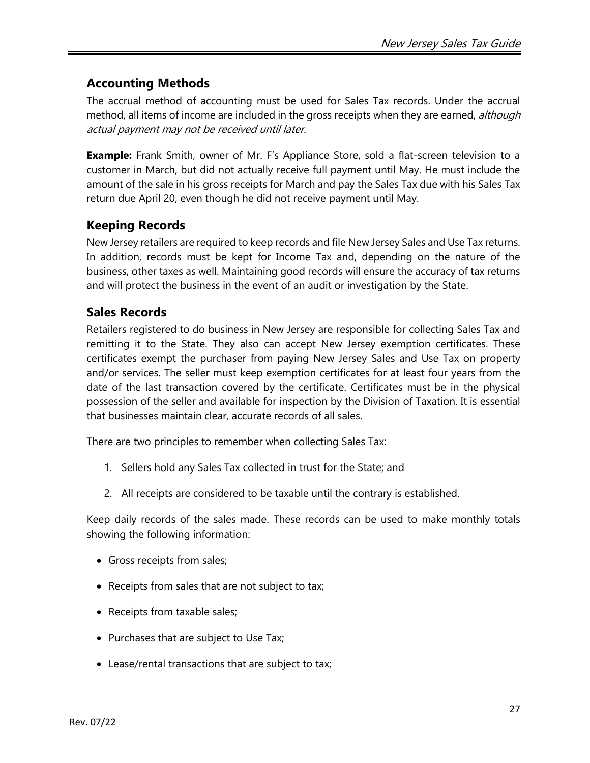# **Accounting Methods**

The accrual method of accounting must be used for Sales Tax records. Under the accrual method, all items of income are included in the gross receipts when they are earned, although actual payment may not be received until later.

**Example:** Frank Smith, owner of Mr. F's Appliance Store, sold a flat-screen television to a customer in March, but did not actually receive full payment until May. He must include the amount of the sale in his gross receipts for March and pay the Sales Tax due with his Sales Tax return due April 20, even though he did not receive payment until May.

### **Keeping Records**

New Jersey retailers are required to keep records and file New Jersey Sales and Use Tax returns. In addition, records must be kept for Income Tax and, depending on the nature of the business, other taxes as well. Maintaining good records will ensure the accuracy of tax returns and will protect the business in the event of an audit or investigation by the State.

### **Sales Records**

Retailers registered to do business in New Jersey are responsible for collecting Sales Tax and remitting it to the State. They also can accept New Jersey exemption certificates. These certificates exempt the purchaser from paying New Jersey Sales and Use Tax on property and/or services. The seller must keep exemption certificates for at least four years from the date of the last transaction covered by the certificate. Certificates must be in the physical possession of the seller and available for inspection by the Division of Taxation. It is essential that businesses maintain clear, accurate records of all sales.

There are two principles to remember when collecting Sales Tax:

- 1. Sellers hold any Sales Tax collected in trust for the State; and
- 2. All receipts are considered to be taxable until the contrary is established.

Keep daily records of the sales made. These records can be used to make monthly totals showing the following information:

- Gross receipts from sales;
- Receipts from sales that are not subject to tax;
- Receipts from taxable sales;
- Purchases that are subject to Use Tax;
- Lease/rental transactions that are subject to tax;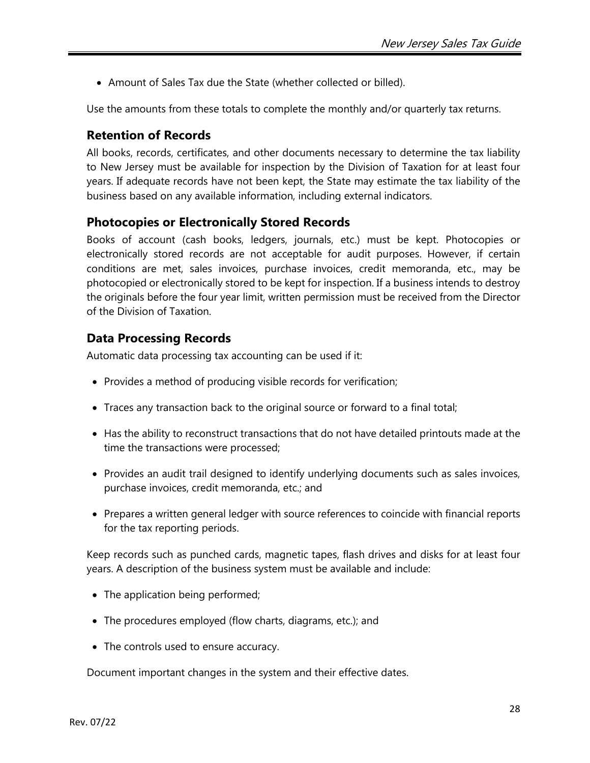• Amount of Sales Tax due the State (whether collected or billed).

Use the amounts from these totals to complete the monthly and/or quarterly tax returns.

### **Retention of Records**

All books, records, certificates, and other documents necessary to determine the tax liability to New Jersey must be available for inspection by the Division of Taxation for at least four years. If adequate records have not been kept, the State may estimate the tax liability of the business based on any available information, including external indicators.

### **Photocopies or Electronically Stored Records**

Books of account (cash books, ledgers, journals, etc.) must be kept. Photocopies or electronically stored records are not acceptable for audit purposes. However, if certain conditions are met, sales invoices, purchase invoices, credit memoranda, etc., may be photocopied or electronically stored to be kept for inspection. If a business intends to destroy the originals before the four year limit, written permission must be received from the Director of the Division of Taxation.

### **Data Processing Records**

Automatic data processing tax accounting can be used if it:

- Provides a method of producing visible records for verification;
- Traces any transaction back to the original source or forward to a final total;
- Has the ability to reconstruct transactions that do not have detailed printouts made at the time the transactions were processed;
- Provides an audit trail designed to identify underlying documents such as sales invoices, purchase invoices, credit memoranda, etc.; and
- Prepares a written general ledger with source references to coincide with financial reports for the tax reporting periods.

Keep records such as punched cards, magnetic tapes, flash drives and disks for at least four years. A description of the business system must be available and include:

- The application being performed;
- The procedures employed (flow charts, diagrams, etc.); and
- The controls used to ensure accuracy.

Document important changes in the system and their effective dates.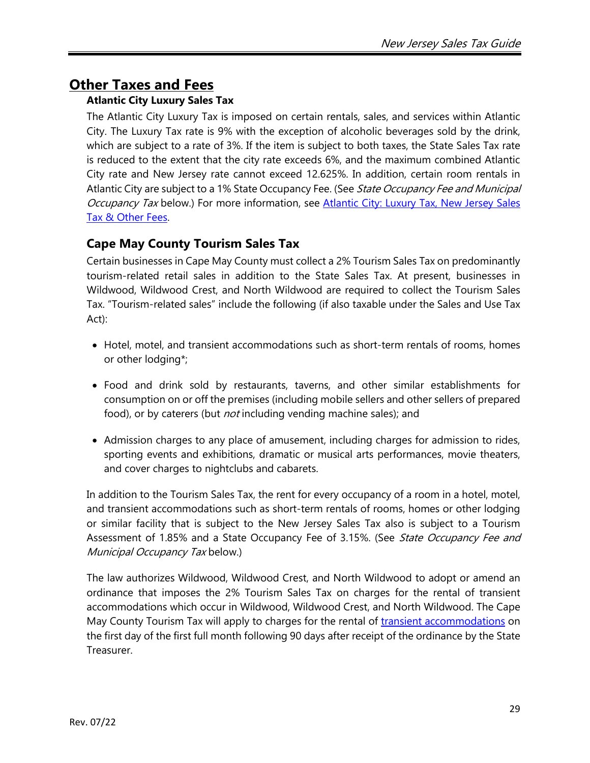# <span id="page-28-0"></span>**Other Taxes and Fees**

### **Atlantic City Luxury Sales Tax**

The Atlantic City Luxury Tax is imposed on certain rentals, sales, and services within Atlantic City. The Luxury Tax rate is 9% with the exception of alcoholic beverages sold by the drink, which are subject to a rate of 3%. If the item is subject to both taxes, the State Sales Tax rate is reduced to the extent that the city rate exceeds 6%, and the maximum combined Atlantic City rate and New Jersey rate cannot exceed 12.625%. In addition, certain room rentals in Atlantic City are subject to a 1% State Occupancy Fee. (See State Occupancy Fee and Municipal Occupancy Tax below.) For more information, see Atlantic City: Luxury Tax, New Jersey Sales [Tax & Other Fees.](http://www.state.nj.us/treasury/taxation/pdf/pubs/sales/anj17.pdf)

# **Cape May County Tourism Sales Tax**

Certain businesses in Cape May County must collect a 2% Tourism Sales Tax on predominantly tourism-related retail sales in addition to the State Sales Tax. At present, businesses in Wildwood, Wildwood Crest, and North Wildwood are required to collect the Tourism Sales Tax. "Tourism-related sales" include the following (if also taxable under the Sales and Use Tax Act):

- Hotel, motel, and transient accommodations such as short-term rentals of rooms, homes or other lodging\*;
- Food and drink sold by restaurants, taverns, and other similar establishments for consumption on or off the premises (including mobile sellers and other sellers of prepared food), or by caterers (but *not* including vending machine sales); and
- Admission charges to any place of amusement, including charges for admission to rides, sporting events and exhibitions, dramatic or musical arts performances, movie theaters, and cover charges to nightclubs and cabarets.

In addition to the Tourism Sales Tax, the rent for every occupancy of a room in a hotel, motel, and transient accommodations such as short-term rentals of rooms, homes or other lodging or similar facility that is subject to the New Jersey Sales Tax also is subject to a Tourism Assessment of 1.85% and a State Occupancy Fee of 3.15%. (See State Occupancy Fee and Municipal Occupancy Tax below.)

The law authorizes Wildwood, Wildwood Crest, and North Wildwood to adopt or amend an ordinance that imposes the 2% Tourism Sales Tax on charges for the rental of transient accommodations which occur in Wildwood, Wildwood Crest, and North Wildwood. The Cape May County Tourism Tax will apply to charges for the rental of [transient accommodations](https://nj.gov/treasury/taxation/pdf/pubs/tb/tb81r.pdf) on the first day of the first full month following 90 days after receipt of the ordinance by the State Treasurer.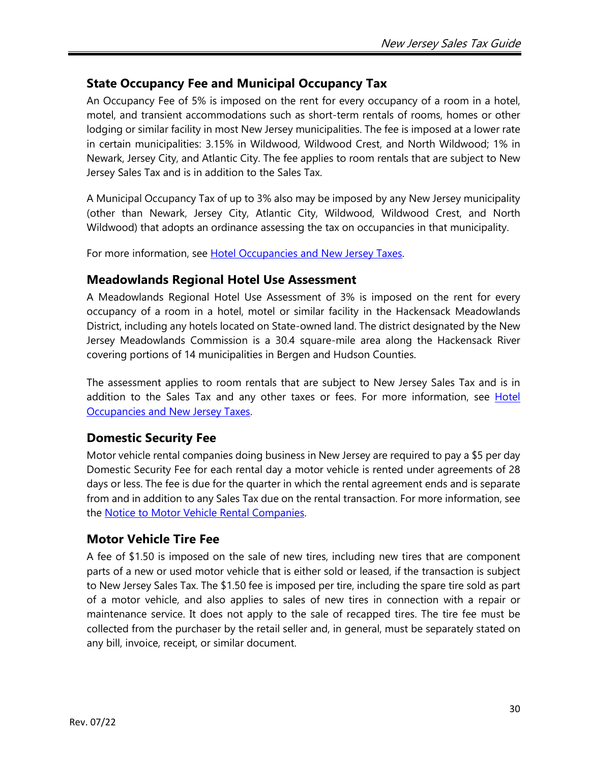### **State Occupancy Fee and Municipal Occupancy Tax**

An Occupancy Fee of 5% is imposed on the rent for every occupancy of a room in a hotel, motel, and transient accommodations such as short-term rentals of rooms, homes or other lodging or similar facility in most New Jersey municipalities. The fee is imposed at a lower rate in certain municipalities: 3.15% in Wildwood, Wildwood Crest, and North Wildwood; 1% in Newark, Jersey City, and Atlantic City. The fee applies to room rentals that are subject to New Jersey Sales Tax and is in addition to the Sales Tax.

A Municipal Occupancy Tax of up to 3% also may be imposed by any New Jersey municipality (other than Newark, Jersey City, Atlantic City, Wildwood, Wildwood Crest, and North Wildwood) that adopts an ordinance assessing the tax on occupancies in that municipality.

For more information, see [Hotel Occupancies and New Jersey](http://www.state.nj.us/treasury/taxation/pdf/pubs/sales/su13.pdf) Taxes.

### **Meadowlands Regional Hotel Use Assessment**

A Meadowlands Regional Hotel Use Assessment of 3% is imposed on the rent for every occupancy of a room in a hotel, motel or similar facility in the Hackensack Meadowlands District, including any hotels located on State-owned land. The district designated by the New Jersey Meadowlands Commission is a 30.4 square-mile area along the Hackensack River covering portions of 14 municipalities in Bergen and Hudson Counties.

The assessment applies to room rentals that are subject to New Jersey Sales Tax and is in addition to the Sales Tax and any other taxes or fees. For more information, see [Hotel](http://www.state.nj.us/treasury/taxation/pdf/pubs/sales/su13.pdf) [Occupancies and New Jersey Taxes.](http://www.state.nj.us/treasury/taxation/pdf/pubs/sales/su13.pdf)

### **Domestic Security Fee**

Motor vehicle rental companies doing business in New Jersey are required to pay a \$5 per day Domestic Security Fee for each rental day a motor vehicle is rented under agreements of 28 days or less. The fee is due for the quarter in which the rental agreement ends and is separate from and in addition to any Sales Tax due on the rental transaction. For more information, see the [Notice to Motor Vehicle Rental Companies.](http://www.state.nj.us/treasury/taxation/pdf/rentalnotice.pdf)

### **Motor Vehicle Tire Fee**

A fee of \$1.50 is imposed on the sale of new tires, including new tires that are component parts of a new or used motor vehicle that is either sold or leased, if the transaction is subject to New Jersey Sales Tax. The \$1.50 fee is imposed per tire, including the spare tire sold as part of a motor vehicle, and also applies to sales of new tires in connection with a repair or maintenance service. It does not apply to the sale of recapped tires. The tire fee must be collected from the purchaser by the retail seller and, in general, must be separately stated on any bill, invoice, receipt, or similar document.